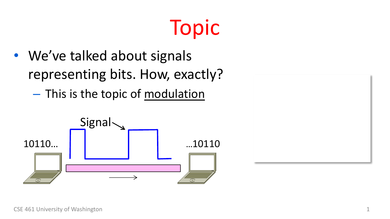#### Topic

- We've talked about signals representing bits. How, exactly?
	- This is the topic of modulation

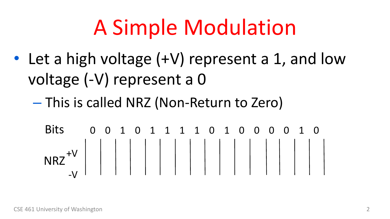#### A Simple Modulation

- Let a high voltage (+V) represent a 1, and low voltage (-V) represent a 0
	- This is called NRZ (Non-Return to Zero)

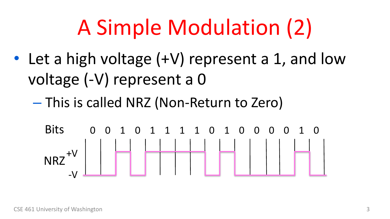## A Simple Modulation (2)

- Let a high voltage (+V) represent a 1, and low voltage (-V) represent a 0
	- This is called NRZ (Non-Return to Zero)

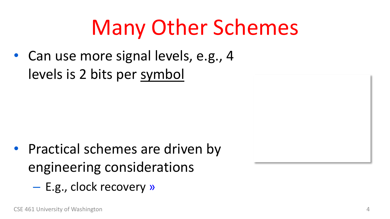#### Many Other Schemes

• Can use more signal levels, e.g., 4 levels is 2 bits per symbol

- Practical schemes are driven by engineering considerations
	- E.g., clock recovery »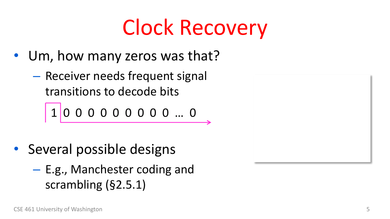## Clock Recovery

- Um, how many zeros was that?
	- Receiver needs frequent signal transitions to decode bits

$$
1 0 0 0 0 0 0 0 0 0 ... 0
$$

- Several possible designs
	- E.g., Manchester coding and scrambling (§2.5.1)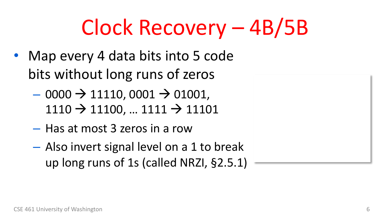## Clock Recovery – 4B/5B

- Map every 4 data bits into 5 code bits without long runs of zeros
	- $-$  0000  $\rightarrow$  11110, 0001  $\rightarrow$  01001,  $1110 \rightarrow 11100, ... 1111 \rightarrow 11101$
	- Has at most 3 zeros in a row
	- Also invert signal level on a 1 to break up long runs of 1s (called NRZI, §2.5.1)

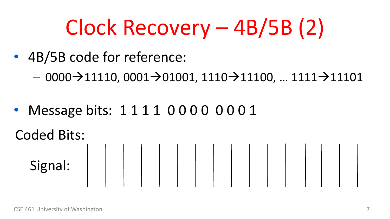## Clock Recovery – 4B/5B (2)

- 4B/5B code for reference:
	- $-$  0000→11110, 0001→01001, 1110→11100, … 1111→11101
- Message bits: 1111 0000 0001

Coded Bits:

Signal:  $\begin{array}{|c|c|c|c|c|c|c|c|c|} \hline \end{array}$   $\begin{array}{|c|c|c|c|c|} \hline \end{array}$   $\begin{array}{|c|c|c|c|c|} \hline \end{array}$   $\begin{array}{|c|c|c|c|c|} \hline \end{array}$   $\begin{array}{|c|c|c|c|c|} \hline \end{array}$   $\begin{array}{|c|c|c|c|c|} \hline \end{array}$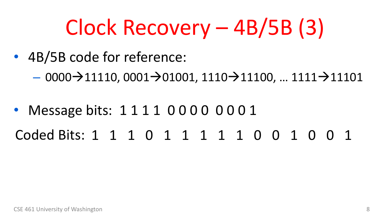## Clock Recovery – 4B/5B (3)

- 4B/5B code for reference:
	- $-$  0000→11110, 0001→01001, 1110→11100, … 1111→11101
- Message bits: 1111 0000 0001 Coded Bits: 1 1 1 0 1 1 1 1 1 0 0 1 0 0 1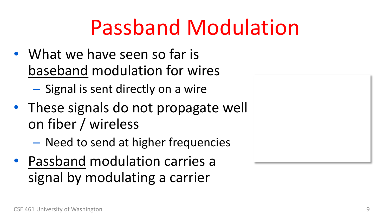#### Passband Modulation

- What we have seen so far is baseband modulation for wires
	- Signal is sent directly on a wire
- These signals do not propagate well on fiber / wireless
	- Need to send at higher frequencies
- Passband modulation carries a signal by modulating a carrier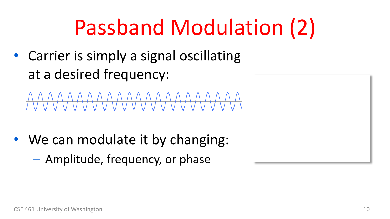#### Passband Modulation (2)

• Carrier is simply a signal oscillating at a desired frequency:

\AAAAAAAAAAAAAAA

- We can modulate it by changing:
	- Amplitude, frequency, or phase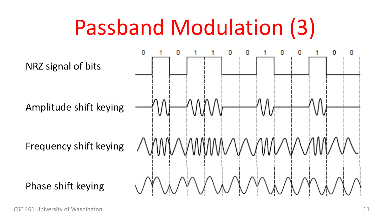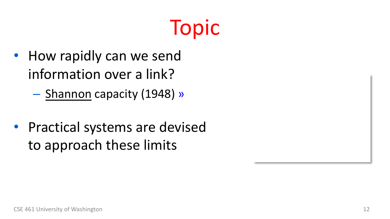#### Topic

- How rapidly can we send information over a link?
	- Shannon capacity (1948) »
- Practical systems are devised to approach these limits

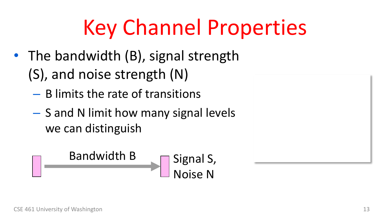## Key Channel Properties

- The bandwidth (B), signal strength (S), and noise strength (N)
	- B limits the rate of transitions
	- S and N limit how many signal levels we can distinguish

Bandwidth B Signal S, Noise N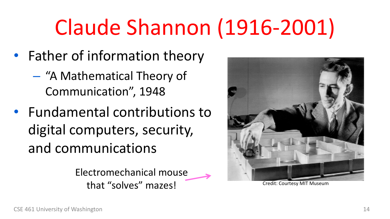#### Claude Shannon (1916-2001)

- Father of information theory
	- "A Mathematical Theory of Communication", 1948
- Fundamental contributions to digital computers, security, and communications

Electromechanical mouse that "solves" mazes!



Credit: Courtesy MIT Museum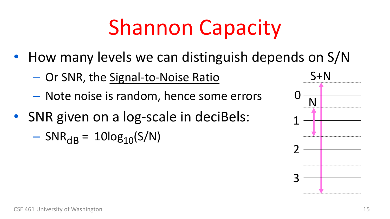### Shannon Capacity

- How many levels we can distinguish depends on S/N
	- Or SNR, the Signal-to-Noise Ratio
	- Note noise is random, hence some errors
- SNR given on a log-scale in deciBels:
	- $-$  SNR<sub>dB</sub> = 10log<sub>10</sub>(S/N)

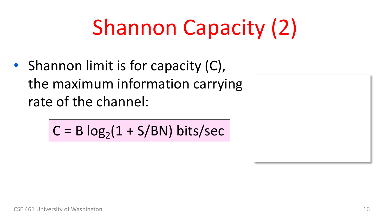## Shannon Capacity (2)

• Shannon limit is for capacity (C), the maximum information carrying rate of the channel:

$$
C = B \log_2(1 + S/BN) \text{ bits/sec}
$$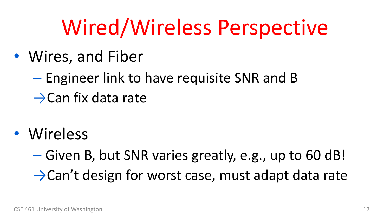#### Wired/Wireless Perspective

- Wires, and Fiber
	- Engineer link to have requisite SNR and B  $\rightarrow$ Can fix data rate
- Wireless

– Given B, but SNR varies greatly, e.g., up to 60 dB! →Can't design for worst case, must adapt data rate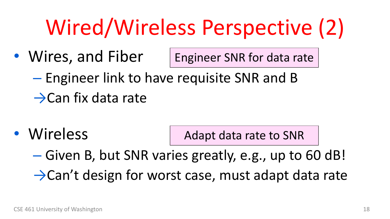## Wired/Wireless Perspective (2)

- Wires, and Fiber Engineer SNR for data rate
	- Engineer link to have requisite SNR and B  $\rightarrow$ Can fix data rate
- Wireless Adapt data rate to SNR
	- Given B, but SNR varies greatly, e.g., up to 60 dB!  $\rightarrow$ Can't design for worst case, must adapt data rate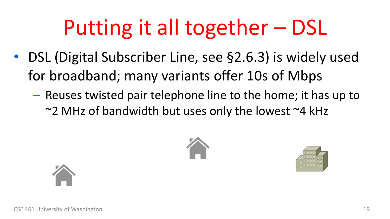## Putting it all together – DSL

- DSL (Digital Subscriber Line, see §2.6.3) is widely used for broadband; many variants offer 10s of Mbps
	- Reuses twisted pair telephone line to the home; it has up to  $\sim$ 2 MHz of bandwidth but uses only the lowest  $\sim$ 4 kHz





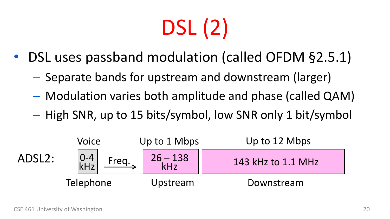# DSL (2)

- DSL uses passband modulation (called OFDM §2.5.1)
	- Separate bands for upstream and downstream (larger)
	- Modulation varies both amplitude and phase (called QAM)
	- High SNR, up to 15 bits/symbol, low SNR only 1 bit/symbol

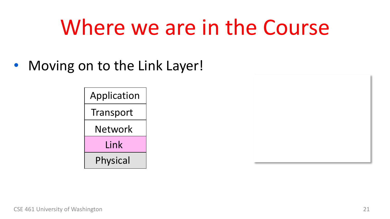#### Where we are in the Course

• Moving on to the Link Layer!



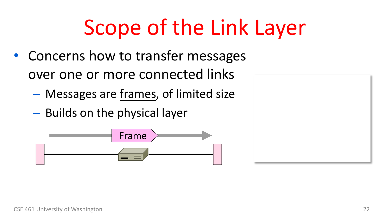## Scope of the Link Layer

- Concerns how to transfer messages over one or more connected links
	- Messages are frames, of limited size
	- Builds on the physical layer

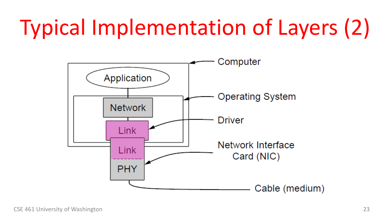## Typical Implementation of Layers (2)